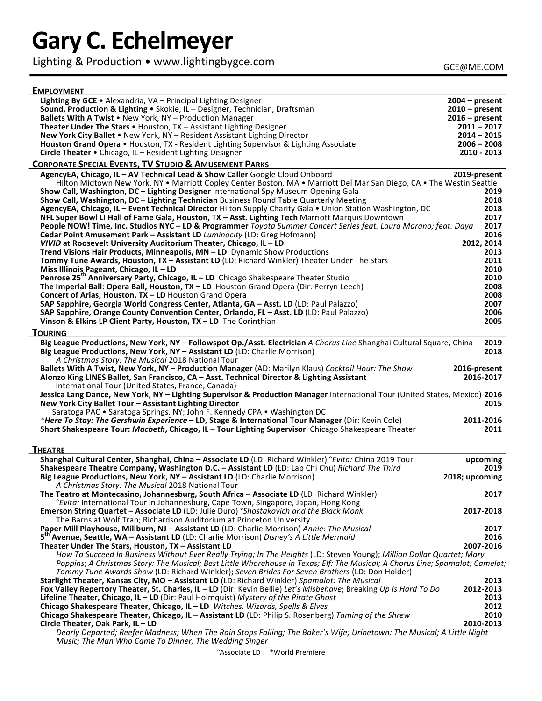# **Gary C. Echelmeyer**

Lighting & Production • www.lightingbygce.com

| <b>EMPLOYMENT</b>                                                                                                                                                                                                                                        |                           |
|----------------------------------------------------------------------------------------------------------------------------------------------------------------------------------------------------------------------------------------------------------|---------------------------|
| Lighting By GCE • Alexandria, VA - Principal Lighting Designer                                                                                                                                                                                           | $2004 - present$          |
| Sound, Production & Lighting • Skokie, IL - Designer, Technician, Draftsman                                                                                                                                                                              | $2010$ – present          |
| Ballets With A Twist • New York, NY - Production Manager                                                                                                                                                                                                 | $2016$ – present          |
| <b>Theater Under The Stars •</b> Houston, TX - Assistant Lighting Designer                                                                                                                                                                               | $2011 - 2017$             |
| New York City Ballet . New York, NY - Resident Assistant Lighting Director                                                                                                                                                                               | $2014 - 2015$             |
| Houston Grand Opera • Houston, TX - Resident Lighting Supervisor & Lighting Associate                                                                                                                                                                    | $2006 - 2008$             |
| Circle Theater . Chicago, IL - Resident Lighting Designer                                                                                                                                                                                                | 2010 - 2013               |
| <b>CORPORATE SPECIAL EVENTS, TV STUDIO &amp; AMUSEMENT PARKS</b>                                                                                                                                                                                         |                           |
| AgencyEA, Chicago, IL - AV Technical Lead & Show Caller Google Cloud Onboard<br>Hilton Midtown New York, NY • Marriott Copley Center Boston, MA • Marriott Del Mar San Diego, CA • The Westin Seattle                                                    | 2019-present              |
| Show Call, Washington, DC - Lighting Designer International Spy Museum Opening Gala                                                                                                                                                                      | 2019                      |
| Show Call, Washington, DC - Lighting Technician Business Round Table Quarterly Meeting                                                                                                                                                                   | 2018                      |
| AgencyEA, Chicago, IL - Event Technical Director Hilton Supply Charity Gala . Union Station Washington, DC                                                                                                                                               | 2018<br>2017              |
| NFL Super Bowl LI Hall of Fame Gala, Houston, TX - Asst. Lighting Tech Marriott Marquis Downtown<br>People NOW! Time, Inc. Studios NYC - LD & Programmer Toyota Summer Concert Series feat. Laura Marano; feat. Daya                                     | 2017                      |
| Cedar Point Amusement Park - Assistant LD Luminocity (LD: Greg Hofmann)                                                                                                                                                                                  | 2016                      |
| VIVID at Roosevelt University Auditorium Theater, Chicago, IL - LD                                                                                                                                                                                       | 2012, 2014                |
| Trend Visions Hair Products, Minneapolis, MN - LD Dynamic Show Productions                                                                                                                                                                               | 2013                      |
| Tommy Tune Awards, Houston, TX - Assistant LD (LD: Richard Winkler) Theater Under The Stars                                                                                                                                                              | 2011                      |
| Miss Illinois Pageant, Chicago, IL - LD                                                                                                                                                                                                                  | 2010                      |
| Penrose 25 <sup>th</sup> Anniversary Party, Chicago, IL - LD Chicago Shakespeare Theater Studio                                                                                                                                                          | 2010                      |
| The Imperial Ball: Opera Ball, Houston, TX - LD Houston Grand Opera (Dir: Perryn Leech)                                                                                                                                                                  | 2008                      |
| Concert of Arias, Houston, TX - LD Houston Grand Opera                                                                                                                                                                                                   | 2008                      |
| SAP Sapphire, Georgia World Congress Center, Atlanta, GA - Asst. LD (LD: Paul Palazzo)                                                                                                                                                                   | 2007                      |
| SAP Sapphire, Orange County Convention Center, Orlando, FL - Asst. LD (LD: Paul Palazzo)                                                                                                                                                                 | 2006                      |
| Vinson & Elkins LP Client Party, Houston, TX - LD The Corinthian                                                                                                                                                                                         | 2005                      |
| <b>TOURING</b>                                                                                                                                                                                                                                           | 2019                      |
| Big League Productions, New York, NY - Followspot Op./Asst. Electrician A Chorus Line Shanghai Cultural Square, China<br>Big League Productions, New York, NY - Assistant LD (LD: Charlie Morrison)<br>A Christmas Story: The Musical 2018 National Tour | 2018                      |
| Ballets With A Twist, New York, NY - Production Manager (AD: Marilyn Klaus) Cocktail Hour: The Show<br>Alonzo King LINES Ballet, San Francisco, CA - Asst. Technical Director & Lighting Assistant                                                       | 2016-present<br>2016-2017 |
| International Tour (United States, France, Canada)<br>Jessica Lang Dance, New York, NY - Lighting Supervisor & Production Manager International Tour (United States, Mexico) 2016                                                                        |                           |
| New York City Ballet Tour - Assistant Lighting Director                                                                                                                                                                                                  | 2015                      |
| Saratoga PAC . Saratoga Springs, NY; John F. Kennedy CPA . Washington DC                                                                                                                                                                                 |                           |
| *Here To Stay: The Gershwin Experience - LD, Stage & International Tour Manager (Dir: Kevin Cole)                                                                                                                                                        | 2011-2016                 |
| Short Shakespeare Tour: Macbeth, Chicago, IL - Tour Lighting Supervisor Chicago Shakespeare Theater                                                                                                                                                      | 2011                      |
| <b>THEATRE</b>                                                                                                                                                                                                                                           |                           |
| Shanghai Cultural Center, Shanghai, China - Associate LD (LD: Richard Winkler) <i>'Evita: China 2019 Tour</i>                                                                                                                                            | upcoming                  |
| Shakespeare Theatre Company, Washington D.C. - Assistant LD (LD: Lap Chi Chu) Richard The Third                                                                                                                                                          | 2019                      |
| Big League Productions, New York, NY - Assistant LD (LD: Charlie Morrison)<br>A Christmas Story: The Musical 2018 National Tour                                                                                                                          | 2018; upcoming            |
| The Teatro at Montecasino, Johannesburg, South Africa - Associate LD (LD: Richard Winkler)<br><i>"Evita:</i> International Tour in Johannesburg, Cape Town, Singapore, Japan, Hong Kong                                                                  | 2017                      |
| Emerson String Quartet - Associate LD (LD: Julie Duro) °Shostakovich and the Black Monk                                                                                                                                                                  | 2017-2018                 |
| The Barns at Wolf Trap; Richardson Auditorium at Princeton University<br>Paper Mill Playhouse, Millburn, NJ - Assistant LD (LD: Charlie Morrison) Annie: The Musical                                                                                     | 2017                      |
| 5 <sup>th</sup> Avenue, Seattle, WA - Assistant LD (LD: Charlie Morrison) Disney's A Little Mermaid                                                                                                                                                      | 2016                      |
| Theater Under The Stars, Houston, TX - Assistant LD                                                                                                                                                                                                      | 2007-2016                 |
| How To Succeed In Business Without Ever Really Trying; In The Heights (LD: Steven Young); Million Dollar Quartet; Mary                                                                                                                                   |                           |
| Poppins; A Christmas Story: The Musical; Best Little Whorehouse in Texas; Elf: The Musical; A Chorus Line; Spamalot; Camelot;<br>Tommy Tune Awards Show (LD: Richard Winkler); Seven Brides For Seven Brothers (LD: Don Holder)                          |                           |
| Starlight Theater, Kansas City, MO - Assistant LD (LD: Richard Winkler) Spamalot: The Musical                                                                                                                                                            | 2013                      |
| Fox Valley Repertory Theater, St. Charles, IL - LD (Dir: Kevin Bellie) Let's Misbehave; Breaking Up Is Hard To Do                                                                                                                                        | 2012-2013                 |
| Lifeline Theater, Chicago, IL - LD (Dir: Paul Holmquist) Mystery of the Pirate Ghost                                                                                                                                                                     | 2013                      |
| Chicago Shakespeare Theater, Chicago, IL - LD Witches, Wizards, Spells & Elves                                                                                                                                                                           | 2012                      |
| Chicago Shakespeare Theater, Chicago, IL - Assistant LD (LD: Philip S. Rosenberg) Taming of the Shrew                                                                                                                                                    | 2010                      |
| Circle Theater, Oak Park, IL - LD                                                                                                                                                                                                                        | 2010-2013                 |
| Dearly Departed; Reefer Madness; When The Rain Stops Falling; The Baker's Wife; Urinetown: The Musical; A Little Night<br>Music; The Man Who Came To Dinner; The Wedding Singer                                                                          |                           |

**°**Associate LD \*World Premiere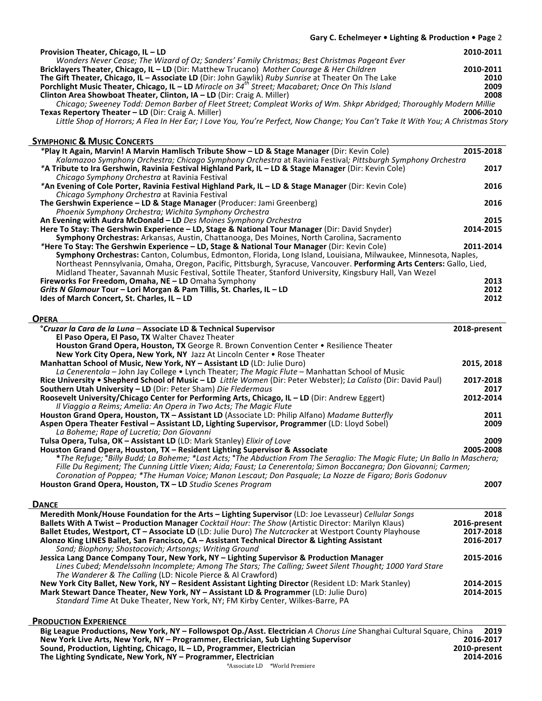## Gary C. Echelmeyer . Lighting & Production . Page 2

| Provision Theater, Chicago, IL - LD                                                                                              | 2010-2011 |
|----------------------------------------------------------------------------------------------------------------------------------|-----------|
| Wonders Never Cease; The Wizard of Oz; Sanders' Family Christmas; Best Christmas Pageant Ever                                    |           |
| <b>Bricklayers Theater, Chicago, IL – LD</b> (Dir: Matthew Trucano) Mother Courage & Her Children                                | 2010-2011 |
| The Gift Theater, Chicago, IL - Associate LD (Dir: John Gawlik) Ruby Sunrise at Theater On The Lake                              | 2010      |
| Porchlight Music Theater, Chicago, IL - LD Miracle on 34 <sup>th</sup> Street; Macabaret; Once On This Island                    | 2009      |
| Clinton Area Showboat Theater, Clinton, IA - LD (Dir: Craig A. Miller)                                                           | 2008      |
| Chicago; Sweeney Todd: Demon Barber of Fleet Street; Compleat Works of Wm. Shkpr Abridged; Thoroughly Modern Millie              |           |
| Texas Repertory Theater – LD (Dir: Craig A. Miller)                                                                              | 2006-2010 |
| Little Shop of Horrors; A Flea In Her Ear; I Love You, You're Perfect, Now Change; You Can't Take It With You; A Christmas Story |           |

# **SYMPHONIC & MUSIC CONCERTS**

| TIVIPHUNIC OLIVIUSIC CUNCERTS                                                                                          |           |
|------------------------------------------------------------------------------------------------------------------------|-----------|
| *Play It Again, Marvin! A Marvin Hamlisch Tribute Show - LD & Stage Manager (Dir: Kevin Cole)                          | 2015-2018 |
| Kalamazoo Symphony Orchestra; Chicago Symphony Orchestra at Ravinia Festival; Pittsburgh Symphony Orchestra            |           |
| *A Tribute to Ira Gershwin, Ravinia Festival Highland Park, IL - LD & Stage Manager (Dir: Kevin Cole)                  | 2017      |
| Chicago Symphony Orchestra at Ravinia Festival                                                                         |           |
| *An Evening of Cole Porter, Ravinia Festival Highland Park, IL – LD & Stage Manager (Dir: Kevin Cole)                  | 2016      |
| Chicago Symphony Orchestra at Ravinia Festival                                                                         |           |
| The Gershwin Experience $-$ LD & Stage Manager (Producer: Jami Greenberg)                                              | 2016      |
| Phoenix Symphony Orchestra; Wichita Symphony Orchestra                                                                 |           |
| An Evening with Audra McDonald - LD Des Moines Symphony Orchestra                                                      | 2015      |
| Here To Stay: The Gershwin Experience - LD, Stage & National Tour Manager (Dir: David Snyder)                          | 2014-2015 |
| Symphony Orchestras: Arkansas, Austin, Chattanooga, Des Moines, North Carolina, Sacramento                             |           |
| *Here To Stay: The Gershwin Experience - LD, Stage & National Tour Manager (Dir: Kevin Cole)                           | 2011-2014 |
| Symphony Orchestras: Canton, Columbus, Edmonton, Florida, Long Island, Louisiana, Milwaukee, Minnesota, Naples,        |           |
| Northeast Pennsylvania, Omaha, Oregon, Pacific, Pittsburgh, Syracuse, Vancouver. Performing Arts Centers: Gallo, Lied, |           |
| Midland Theater, Savannah Music Festival, Sottile Theater, Stanford University, Kingsbury Hall, Van Wezel              |           |
| Fireworks For Freedom, Omaha, NE - LD Omaha Symphony                                                                   | 2013      |
| Grits N Glamour Tour - Lori Morgan & Pam Tillis, St. Charles, IL - LD                                                  | 2012      |
| Ides of March Concert, St. Charles, IL - LD                                                                            | 2012      |
|                                                                                                                        |           |

### **OPERA**

| °Cruzar la Cara de la Luna - Associate LD & Technical Supervisor                                                          | 2018-present |
|---------------------------------------------------------------------------------------------------------------------------|--------------|
| El Paso Opera, El Paso, TX Walter Chavez Theater                                                                          |              |
| Houston Grand Opera, Houston, TX George R. Brown Convention Center • Resilience Theater                                   |              |
| New York City Opera, New York, NY Jazz At Lincoln Center . Rose Theater                                                   |              |
| Manhattan School of Music, New York, NY - Assistant LD (LD: Julie Duro)                                                   | 2015, 2018   |
| La Cenerentola – John Jay College • Lynch Theater; The Magic Flute – Manhattan School of Music                            |              |
| Rice University . Shepherd School of Music - LD Little Women (Dir: Peter Webster); La Calisto (Dir: David Paul)           | 2017-2018    |
| Southern Utah University - LD (Dir: Peter Sham) Die Fledermaus                                                            | 2017         |
| Roosevelt University/Chicago Center for Performing Arts, Chicago, IL - LD (Dir: Andrew Eggert)                            | 2012-2014    |
| Il Viaggio a Reims; Amelia: An Opera in Two Acts; The Magic Flute                                                         |              |
| Houston Grand Opera, Houston, TX - Assistant LD (Associate LD: Philip Alfano) Madame Butterfly                            | 2011         |
| Aspen Opera Theater Festival - Assistant LD, Lighting Supervisor, Programmer (LD: Lloyd Sobel)                            | 2009         |
| La Boheme; Rape of Lucretia; Don Giovanni                                                                                 |              |
| Tulsa Opera, Tulsa, OK - Assistant LD (LD: Mark Stanley) Elixir of Love                                                   | 2009         |
| Houston Grand Opera, Houston, TX - Resident Lighting Supervisor & Associate                                               | 2005-2008    |
| *The Refuge; °Billy Budd; La Boheme; *Last Acts; °The Abduction From The Seraglio: The Magic Flute; Un Ballo In Maschera; |              |
| Fille Du Regiment; The Cunning Little Vixen; Aida; Faust; La Cenerentola; Simon Boccanegra; Don Giovanni; Carmen;         |              |
| Coronation of Poppea; *The Human Voice; Manon Lescaut; Don Pasquale; La Nozze de Figaro; Boris Godonuv                    |              |
| Houston Grand Opera, Houston, TX - LD Studio Scenes Program                                                               | 2007         |

### **DANCE**

| Meredith Monk/House Foundation for the Arts - Lighting Supervisor (LD: Joe Levasseur) Cellular Songs     | 2018         |
|----------------------------------------------------------------------------------------------------------|--------------|
| Ballets With A Twist - Production Manager Cocktail Hour: The Show (Artistic Director: Marilyn Klaus)     | 2016-present |
| Ballet Etudes, Westport, CT - Associate LD (LD: Julie Duro) The Nutcracker at Westport County Playhouse  | 2017-2018    |
| Alonzo King LINES Ballet, San Francisco, CA - Assistant Technical Director & Lighting Assistant          | 2016-2017    |
| Sand; Biophony; Shostocovich; Artsongs; Writing Ground                                                   |              |
| Jessica Lang Dance Company Tour, New York, NY - Lighting Supervisor & Production Manager                 | 2015-2016    |
| Lines Cubed; Mendelssohn Incomplete; Among The Stars; The Calling; Sweet Silent Thought; 1000 Yard Stare |              |
| The Wanderer & The Calling (LD: Nicole Pierce & Al Crawford)                                             |              |
| New York City Ballet, New York, NY - Resident Assistant Lighting Director (Resident LD: Mark Stanley)    | 2014-2015    |
| Mark Stewart Dance Theater, New York, NY - Assistant LD & Programmer (LD: Julie Duro)                    | 2014-2015    |
| Standard Time At Duke Theater, New York, NY; FM Kirby Center, Wilkes-Barre, PA                           |              |
|                                                                                                          |              |

### **PRODUCTION EXPERIENCE**

| Big League Productions, New York, NY – Followspot Op./Asst. Electrician A Chorus Line Shanghai Cultural Square, China |              | 2019      |
|-----------------------------------------------------------------------------------------------------------------------|--------------|-----------|
| New York Live Arts, New York, NY - Programmer, Electrician, Sub Lighting Supervisor                                   |              | 2016-2017 |
| Sound, Production, Lighting, Chicago, $IL - LD$ , Programmer, Electrician                                             | 2010-present |           |
| The Lighting Syndicate, New York, NY – Programmer, Electrician                                                        |              | 2014-2016 |
|                                                                                                                       |              |           |